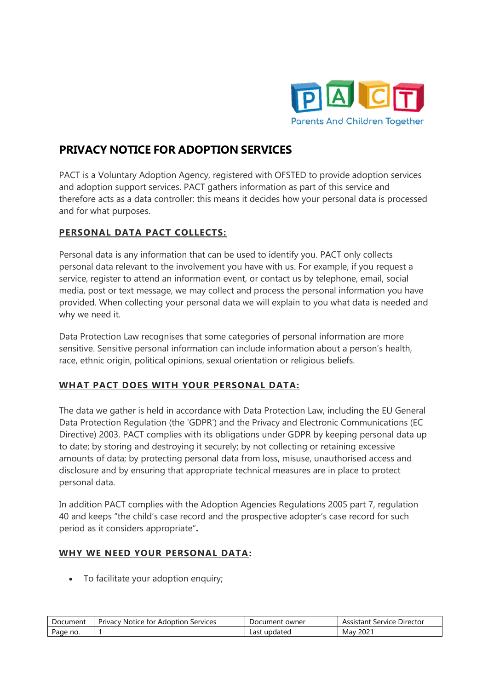

# **PRIVACY NOTICE FOR ADOPTION SERVICES**

PACT is a Voluntary Adoption Agency, registered with OFSTED to provide adoption services and adoption support services. PACT gathers information as part of this service and therefore acts as a data controller: this means it decides how your personal data is processed and for what purposes.

#### **PERSONAL DATA PACT COLLECTS:**

Personal data is any information that can be used to identify you. PACT only collects personal data relevant to the involvement you have with us. For example, if you request a service, register to attend an information event, or contact us by telephone, email, social media, post or text message, we may collect and process the personal information you have provided. When collecting your personal data we will explain to you what data is needed and why we need it.

Data Protection Law recognises that some categories of personal information are more sensitive. Sensitive personal information can include information about a person's health, race, ethnic origin, political opinions, sexual orientation or religious beliefs.

## **WHAT PACT DOES WITH YOUR PERSONAL DATA:**

The data we gather is held in accordance with Data Protection Law, including the EU General Data Protection Regulation (the 'GDPR') and the Privacy and Electronic Communications (EC Directive) 2003. PACT complies with its obligations under GDPR by keeping personal data up to date; by storing and destroying it securely; by not collecting or retaining excessive amounts of data; by protecting personal data from loss, misuse, unauthorised access and disclosure and by ensuring that appropriate technical measures are in place to protect personal data.

In addition PACT complies with the Adoption Agencies Regulations 2005 part 7, regulation 40 and keeps "the child's case record and the prospective adopter's case record for such period as it considers appropriate"**.**

#### **WHY WE NEED YOUR PERSONAL DATA:**

• To facilitate your adoption enquiry;

| Document | Services<br><b>Notice</b><br>Adoption<br>: for<br>Privacy | . owner<br>Document | Director<br>Service<br>Assistant |
|----------|-----------------------------------------------------------|---------------------|----------------------------------|
| Page     |                                                           | Last                | $202^{\circ}$                    |
| no.      |                                                           | updated             | Mav                              |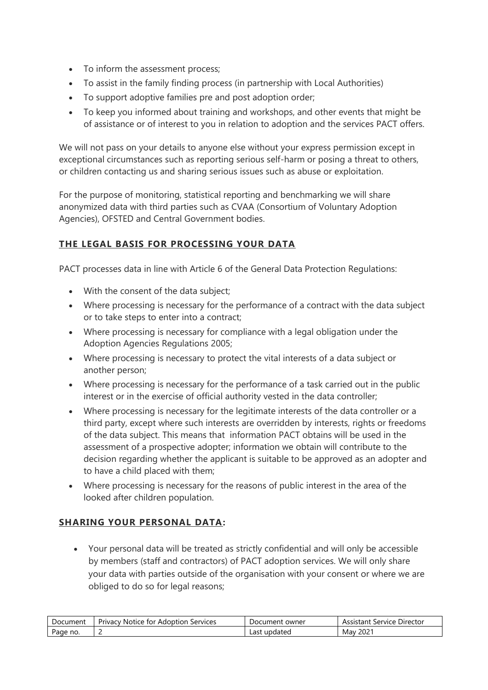- To inform the assessment process;
- To assist in the family finding process (in partnership with Local Authorities)
- To support adoptive families pre and post adoption order;
- To keep you informed about training and workshops, and other events that might be of assistance or of interest to you in relation to adoption and the services PACT offers.

We will not pass on your details to anyone else without your express permission except in exceptional circumstances such as reporting serious self-harm or posing a threat to others, or children contacting us and sharing serious issues such as abuse or exploitation.

For the purpose of monitoring, statistical reporting and benchmarking we will share anonymized data with third parties such as CVAA (Consortium of Voluntary Adoption Agencies), OFSTED and Central Government bodies.

## **THE LEGAL BASIS FOR PROCESSING YOUR DATA**

PACT processes data in line with Article 6 of the General Data Protection Regulations:

- With the consent of the data subject;
- Where processing is necessary for the performance of a contract with the data subject or to take steps to enter into a contract;
- Where processing is necessary for compliance with a legal obligation under the Adoption Agencies Regulations 2005;
- Where processing is necessary to protect the vital interests of a data subject or another person;
- Where processing is necessary for the performance of a task carried out in the public interest or in the exercise of official authority vested in the data controller;
- Where processing is necessary for the legitimate interests of the data controller or a third party, except where such interests are overridden by interests, rights or freedoms of the data subject. This means that information PACT obtains will be used in the assessment of a prospective adopter; information we obtain will contribute to the decision regarding whether the applicant is suitable to be approved as an adopter and to have a child placed with them;
- Where processing is necessary for the reasons of public interest in the area of the looked after children population.

#### **SHARING YOUR PERSONAL DATA:**

• Your personal data will be treated as strictly confidential and will only be accessible by members (staff and contractors) of PACT adoption services. We will only share your data with parties outside of the organisation with your consent or where we are obliged to do so for legal reasons;

| Document | Services<br>Notice for<br>Adoption<br>Privacy | Document owner  | . Service Director<br>Assistant |
|----------|-----------------------------------------------|-----------------|---------------------------------|
| Page no. |                                               | updated<br>Last | $202^{\circ}$<br>Mav            |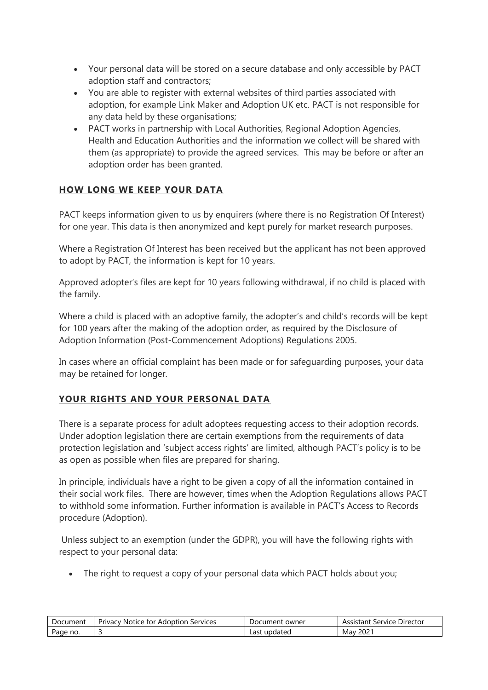- Your personal data will be stored on a secure database and only accessible by PACT adoption staff and contractors;
- You are able to register with external websites of third parties associated with adoption, for example Link Maker and Adoption UK etc. PACT is not responsible for any data held by these organisations;
- PACT works in partnership with Local Authorities, Regional Adoption Agencies, Health and Education Authorities and the information we collect will be shared with them (as appropriate) to provide the agreed services. This may be before or after an adoption order has been granted.

## **HOW LONG WE KEEP YOUR DATA**

PACT keeps information given to us by enquirers (where there is no Registration Of Interest) for one year. This data is then anonymized and kept purely for market research purposes.

Where a Registration Of Interest has been received but the applicant has not been approved to adopt by PACT, the information is kept for 10 years.

Approved adopter's files are kept for 10 years following withdrawal, if no child is placed with the family.

Where a child is placed with an adoptive family, the adopter's and child's records will be kept for 100 years after the making of the adoption order, as required by the Disclosure of Adoption Information (Post-Commencement Adoptions) Regulations 2005.

In cases where an official complaint has been made or for safeguarding purposes, your data may be retained for longer.

## **YOUR RIGHTS AND YOUR PERSONAL DATA**

There is a separate process for adult adoptees requesting access to their adoption records. Under adoption legislation there are certain exemptions from the requirements of data protection legislation and 'subject access rights' are limited, although PACT's policy is to be as open as possible when files are prepared for sharing.

In principle, individuals have a right to be given a copy of all the information contained in their social work files. There are however, times when the Adoption Regulations allows PACT to withhold some information. Further information is available in PACT's Access to Records procedure (Adoption).

Unless subject to an exemption (under the GDPR), you will have the following rights with respect to your personal data:

• The right to request a copy of your personal data which PACT holds about you;

| Document | Services<br>Notice for<br>Privacy.<br>: Adoption | owner<br>Document | Director<br>service<br>Assistant |
|----------|--------------------------------------------------|-------------------|----------------------------------|
| no.      |                                                  | updated           | $202^{\circ}$                    |
| Page     |                                                  | ∟ast              | Mav                              |